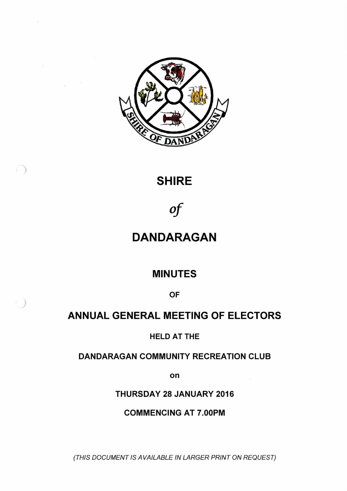

## **SHIRE**

*of*

# **DANDARAGAN**

### **MINUTES**

**OF**

### **ANNUAL GENERAL MEETING OF ELECTORS**

**HELD AT THE**

#### **DANDARAGAN COMMUNITY RECREATION CLUB**

**on**

**THURSDAY 28 JANUARY 2016**

**COMMENCING AT 7.00PM**

*(THIS DOCUMENT IS AVAILABLE IN LARGER PRINT ON REQUEST)*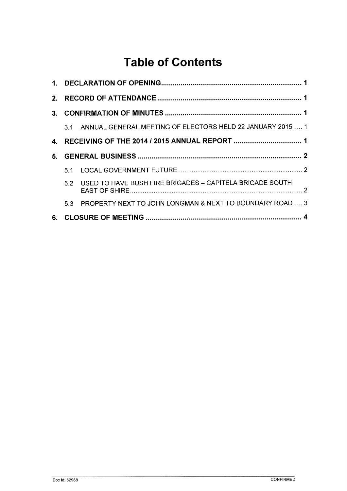# **Table of Contents**

| 2. |                                                  |                                                               |  |  |
|----|--------------------------------------------------|---------------------------------------------------------------|--|--|
|    |                                                  |                                                               |  |  |
|    |                                                  | 3.1 ANNUAL GENERAL MEETING OF ELECTORS HELD 22 JANUARY 2015 1 |  |  |
|    | 4. RECEIVING OF THE 2014 / 2015 ANNUAL REPORT  1 |                                                               |  |  |
| 5. |                                                  |                                                               |  |  |
|    | 51                                               |                                                               |  |  |
|    |                                                  |                                                               |  |  |
|    |                                                  | 5.2 USED TO HAVE BUSH FIRE BRIGADES - CAPITELA BRIGADE SOUTH  |  |  |
|    | 5.3                                              | PROPERTY NEXT TO JOHN LONGMAN & NEXT TO BOUNDARY ROAD 3       |  |  |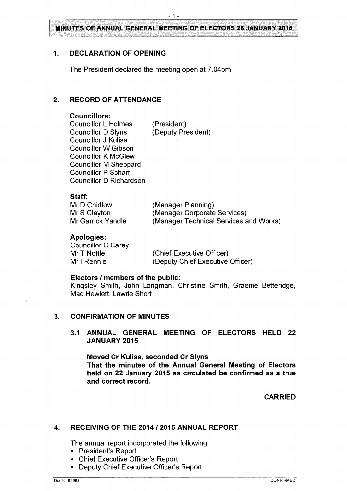### <span id="page-2-3"></span>**MINUTES OF ANNUAL GENERAL MEETING OF ELECTORS 28 JANUARY 2016** \_\_\_\_\_\_\_\_\_\_\_\_\_\_\_\_\_\_\_\_\_\_\_\_\_\_\_\_\_\_\_\_\_\_\_\_\_\_\_\_\_\_\_\_\_\_\_\_\_\_\_\_\_\_\_\_\_\_\_\_\_\_\_\_\_\_\_\_\_\_\_\_\_\_\_\_\_\_\_\_\_\_\_\_\_\_\_\_\_\_ ^1:\_\_\_\_\_\_\_\_\_\_\_\_\_\_\_\_\_\_\_\_\_\_\_\_\_\_\_\_\_\_\_\_\_\_\_\_\_\_\_\_\_\_\_\_\_\_\_\_\_\_\_\_\_\_\_\_\_\_\_\_\_\_\_\_\_\_\_\_\_\_\_\_\_\_\_\_\_\_\_\_\_\_\_\_\_\_\_\_\_\_\_

#### <span id="page-2-0"></span>**1. DECLARATION OF OPENING**

The President declared the meeting open at 7.04pm.

#### <span id="page-2-1"></span>**2. RECORD OF ATTENDANCE**

#### **Councillors:**

Councillor L Holmes (President) Councillor D Slyns (Deputy President) Councillor J Kulisa Councillor W Gibson Councillor K McGlew Councillor M Sheppard Councillor P Scharf Councillor D Richardson

**Staff:**

Mr D Chidlow Mr S Clayton Mr Garrick Yandle (Manager Planning) (Manager Corporate Services) (Manager Technical Services and Works)

#### **Apologies:**

Councillor C Carey Mr T Mottle Mr <sup>I</sup> Rennie

(Chief Executive Officer) (Deputy Chief Executive Officer)

#### **Electors / members of the public:**

Kingsley Smith, John Longman, Christine Smith, Graeme Betteridge, Mac Hewlett, Lawrie Short

#### <span id="page-2-2"></span>**3. CONFIRMATION OF MINUTES**

#### **3.1 ANNUAL GENERAL MEETING OF ELECTORS HELD 22 JANUARY 2015**

**Moved Cr Kulisa, seconded Cr Slyns**

**That the minutes of the Annual General Meeting of Electors held on 22 January 2015 as circulated be confirmed as a true and correct record.**

**CARRIED**

#### <span id="page-2-4"></span>**4. RECEIVING OF THE 2014 / 2015 ANNUAL REPORT**

The annual report incorporated the following:

- President's Report
- Chief Executive Officer's Report
- Deputy Chief Executive Officer's Report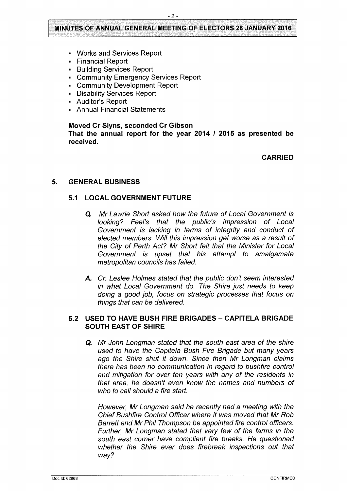#### -2-

#### **MINUTES OF ANNUAL GENERAL MEETING OF ELECTORS 28 JANUARY 2016**

- Works and Services Report
- Financial Report
- Building Services Report
- Community Emergency Services Report
- **Community Development Report**
- Disability Services Report
- Auditor's Report
- Annual Financial Statements

#### **Moved Cr Slyns, seconded Cr Gibson**

**That the annual report for the year 2014 / 2015 as presented be received.**

#### **CARRIED**

#### <span id="page-3-1"></span><span id="page-3-0"></span>**5. GENERAL BUSINESS**

#### **5.1 LOCAL GOVERNMENT FUTURE**

- **Q.** *Mr Lawrie Short asked how the future of Local Government is looking? Feel's that the public's impression of Local Government is lacking in terms of integrity and conduct of elected members. Will this impression get worse as a result of the City of Perth Act? Mr Short felt that the Minister for Local Government is upset that his attempt to amalgamate metropolitan councils has failed.*
- *A. Cr. Leslee Holmes stated that the public don't seem interested in what Local Government do. The Shire just needs to keep doing a good job, focus on strategic processes that focus on things that can be delivered.*

#### <span id="page-3-2"></span>**5.2 USED TO HAVE BUSH FIRE BRIGADES - CAPITELA BRIGADE SOUTH EAST OF SHIRE**

**Q.** *Mr John Longman stated that the south east area of the shire used to have the Capitela Bush Fire Brigade but many years ago the Shire shut it down. Since then Mr Longman claims there has been no communication in regard to bushfire control and mitigation for over ten years with any of the residents in that area, he doesn't even know the names and numbers of who to call should a fire start.*

*However, Mr Longman said he recently had a meeting with the Chief Bushfire Control Officer where it was moved that Mr Rob Barrett and Mr Phil Thompson be appointed fire control officers. Further, Mr Longman stated that very few of the farms in the south east corner have compliant fire breaks. He questioned whether the Shire ever does firebreak inspections out that way?*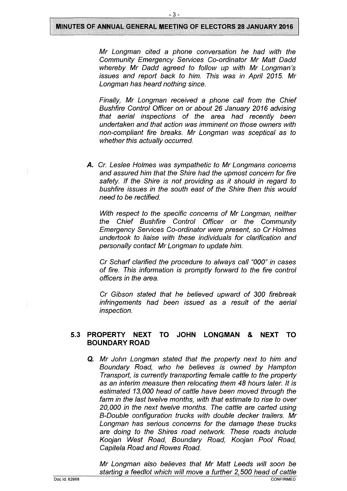#### **MINUTES OF ANNUAL GENERAL MEETING OF ELECTORS 28 JANUARY 2016**

*Mr Longman cited a phone conversation he had with the Community Emergency Services Co-ordinator Mr Matt Dadd whereby Mr Dadd agreed to follow up with Mr Longman's issues and report back to him. This was in April 2015. Mr Longman has heard nothing since.*

*Finally, Mr Longman received a phone call from the Chief Bushfire Control Officer on or about 26 January 2016 advising that aerial inspections of the area had recently been undertaken and that action was imminent on those owners with non-compliant fire breaks. Mr Longman was sceptical as to whether this actually occurred.*

*A. Cr. Leslee Holmes* was *sympathetic to Mr Longmans concerns and assured him that the Shire had the upmost concern for fire safety. If the Shire is not providing as it should in regard to bushfire issues in the south east of the Shire then this would need to be rectified.*

*With respect to the specific concerns of Mr Longman, neither the Chief Bushfire Control Officer or the Community Emergency Services Co-ordinator were present, so Cr Holmes undertook to liaise with these individuals for clarification and personally contact Mr Longman to update him.*

*Cr Scharf clarified the procedure to always call "000" in cases of fire. This information is promptly forward to the fire control officers in the area.*

*Cr Gibson stated that he believed upward of 300 firebreak infringements had been issued as a result of the aerial inspection.*

#### <span id="page-4-0"></span>**5.3 PROPERTY NEXT TO JOHN LONGMAN & NEXT TO BOUNDARY ROAD**

Q. *Mr John Longman stated that the property next to him and Boundary Road, who he believes is owned by Hampton Transport, is currently transporting female cattle to the property as an interim measure then relocating them 48 hours later. It is estimated 13,000 head of cattle have been moved through the farm in the last twelve months, with that estimate to rise to over 20,000 in the next twelve months. The cattle are carted using B-Double configuration trucks with double decker trailers. Mr Longman has serious concerns for the damage these trucks are doing to the Shires road network. These roads include Koojan West Road, Boundary Road, Koojan Pool Road, Capitela Road and Rowes Road.*

*Mr Longman also believes that Mr Matt Leeds will soon be starting a feedlot which will move a further 2,500 head of cattle* **Doc Id: 62968 CONFIRMED**